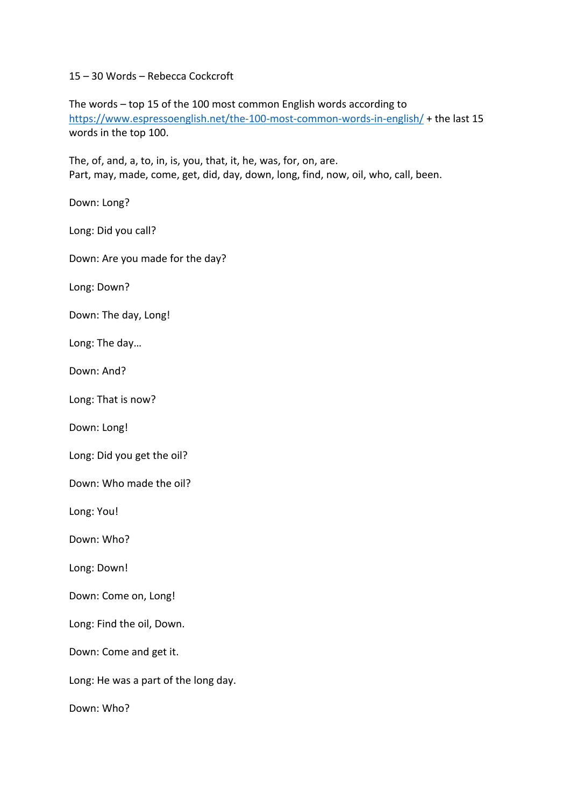15 – 30 Words – Rebecca Cockcroft

The words – top 15 of the 100 most common English words according to https://www.espressoenglish.net/the-100-most-common-words-in-english/ + the last 15 words in the top 100.

The, of, and, a, to, in, is, you, that, it, he, was, for, on, are. Part, may, made, come, get, did, day, down, long, find, now, oil, who, call, been.

Down: Long?

Long: Did you call?

Down: Are you made for the day?

Long: Down?

Down: The day, Long!

Long: The day…

Down: And?

Long: That is now?

Down: Long!

Long: Did you get the oil?

Down: Who made the oil?

Long: You!

Down: Who?

Long: Down!

Down: Come on, Long!

Long: Find the oil, Down.

Down: Come and get it.

Long: He was a part of the long day.

Down: Who?